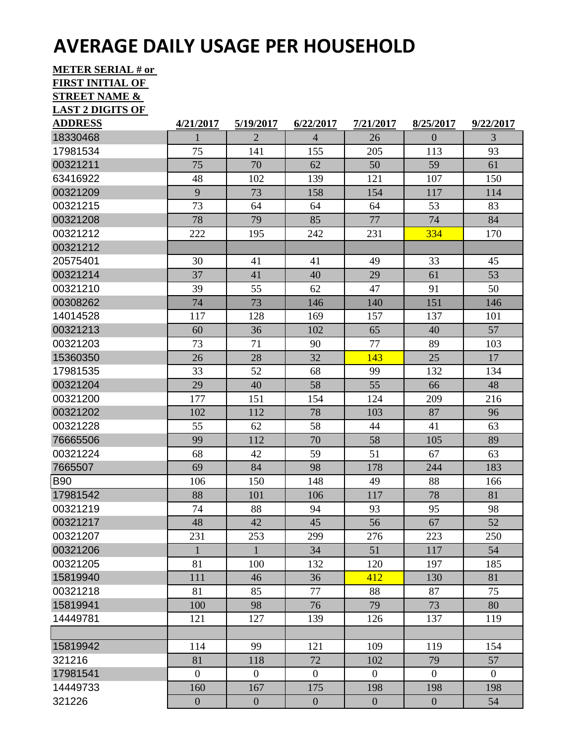## **AVERAGE DAILY USAGE PER HOUSEHOLD**

**METER SERIAL # or** 

| <b>FIRST INITIAL OF</b>  |                  |                  |                  |                  |                  |                |
|--------------------------|------------------|------------------|------------------|------------------|------------------|----------------|
| <b>STREET NAME &amp;</b> |                  |                  |                  |                  |                  |                |
| <b>LAST 2 DIGITS OF</b>  |                  |                  |                  |                  |                  |                |
| <b>ADDRESS</b>           | 4/21/2017        | 5/19/2017        | 6/22/2017        | 7/21/2017        | 8/25/2017        | 9/22/2017      |
| 18330468                 | 1                | $\overline{2}$   | $\overline{4}$   | 26               | $\theta$         | 3              |
| 17981534                 | 75               | 141              | 155              | 205              | 113              | 93             |
| 00321211                 | 75               | 70               | 62               | 50               | 59               | 61             |
| 63416922                 | 48               | 102              | 139              | 121              | 107              | 150            |
| 00321209                 | 9                | 73               | 158              | 154              | 117              | 114            |
| 00321215                 | 73               | 64               | 64               | 64               | 53               | 83             |
| 00321208                 | 78               | 79               | 85               | 77               | 74               | 84             |
| 00321212                 | 222              | 195              | 242              | 231              | 334              | 170            |
| 00321212                 |                  |                  |                  |                  |                  |                |
| 20575401                 | 30               | 41               | 41               | 49               | 33               | 45             |
| 00321214                 | 37               | 41               | 40               | 29               | 61               | 53             |
| 00321210                 | 39               | 55               | 62               | 47               | 91               | 50             |
| 00308262                 | 74               | 73               | 146              | 140              | 151              | 146            |
| 14014528                 | 117              | 128              | 169              | 157              | 137              | 101            |
| 00321213                 | 60               | 36               | 102              | 65               | 40               | 57             |
| 00321203                 | 73               | 71               | 90               | 77               | 89               | 103            |
| 15360350                 | 26               | 28               | 32               | 143              | 25               | 17             |
| 17981535                 | 33               | 52               | 68               | 99               | 132              | 134            |
| 00321204                 | 29               | 40               | 58               | 55               | 66               | 48             |
| 00321200                 | 177              | 151              | 154              | 124              | 209              | 216            |
| 00321202                 | 102              | 112              | 78               | 103              | 87               | 96             |
| 00321228                 | 55               | 62               | 58               | 44               | 41               | 63             |
| 76665506                 | 99               | 112              | 70               | 58               | 105              | 89             |
| 00321224                 | 68               | 42               | 59               | 51               | 67               | 63             |
| 7665507                  | 69               | 84               | 98               | 178              | 244              | 183            |
| <b>B90</b>               | 106              | 150              | 148              | 49               | 88               | 166            |
| 17981542                 | 88               | 101              | 106              | 117              | $78\,$           | 81             |
| 00321219                 | 74               | 88               | 94               | 93               | 95               | 98             |
| 00321217                 | 48               | 42               | 45               | 56               | 67               | 52             |
| 00321207                 | 231              | 253              | 299              | 276              | 223              | 250            |
| 00321206                 | 1                | 1                | 34               | 51               | 117              | 54             |
| 00321205                 | 81               | 100              | 132              | 120              | 197              | 185            |
| 15819940                 | 111              | 46               | 36               | 412              | 130              | 81             |
| 00321218                 | 81               | 85               | 77               | 88               | 87               | 75             |
| 15819941                 | 100              | 98               | 76               | 79               | 73               | 80             |
| 14449781                 | 121              | 127              | 139              | 126              | 137              | 119            |
|                          |                  |                  |                  |                  |                  |                |
| 15819942                 | 114              | 99               | 121              | 109              | 119              | 154            |
| 321216                   | 81               | 118              | 72               | 102              | 79               | 57             |
| 17981541                 | $\boldsymbol{0}$ | $\mathbf{0}$     | $\boldsymbol{0}$ | $\overline{0}$   | $\overline{0}$   | $\overline{0}$ |
| 14449733                 | 160              | 167              | 175              | 198              | 198              | 198            |
| 321226                   | $\boldsymbol{0}$ | $\boldsymbol{0}$ | $\boldsymbol{0}$ | $\boldsymbol{0}$ | $\boldsymbol{0}$ | 54             |